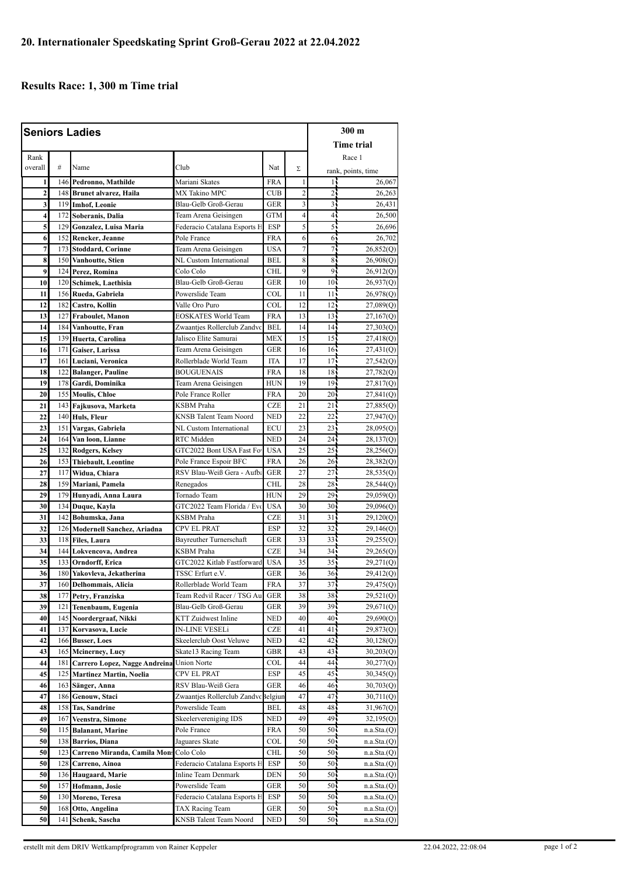## **Results Race: 1, 300 m Time trial**

| <b>Seniors Ladies</b>        |            |                                                 |                                                      |                          |                |                        | $300 \text{ m}$        |  |
|------------------------------|------------|-------------------------------------------------|------------------------------------------------------|--------------------------|----------------|------------------------|------------------------|--|
|                              |            |                                                 |                                                      |                          |                |                        | <b>Time trial</b>      |  |
| Rank                         |            |                                                 |                                                      |                          |                |                        | Race 1                 |  |
| overall                      | #          | Name                                            | Club                                                 | Nat                      | Σ              |                        |                        |  |
|                              |            |                                                 | Mariani Skates                                       | <b>FRA</b>               | $\mathbf{1}$   | 14                     | rank, points, time     |  |
| 1<br>$\overline{\mathbf{c}}$ | 146        | Pedronno, Mathilde<br>148 Brunet alvarez, Haila | MX Takino MPC                                        | <b>CUB</b>               | $\overline{c}$ | $\overline{2}$         | 26,067<br>26,263       |  |
| 3                            |            | 119 Imhof, Leonie                               | Blau-Gelb Groß-Gerau                                 | <b>GER</b>               | 3              | 31                     | 26,431                 |  |
| 4                            |            | 172 Soberanis, Dalia                            | Team Arena Geisingen                                 | GTM                      | $\overline{4}$ | 4,                     | 26,500                 |  |
| 5                            |            | 129 Gonzalez, Luisa Maria                       | Federacio Catalana Esports H                         | ESP                      | 5              | 55                     | 26,696                 |  |
| 6                            | 152        | Rencker, Jeanne                                 | Pole France                                          | FRA                      | 6              | 65                     | 26,702                 |  |
| $\overline{7}$               |            | 173 Stoddard, Corinne                           | Team Arena Geisingen                                 | <b>USA</b>               | $\overline{7}$ | 7                      | 26,852(Q)              |  |
| 8                            | 150        | Vanhoutte, Stien                                | NL Custom International                              | <b>BEL</b>               | 8              | 85                     | 26,908(Q)              |  |
| 9                            | 124        | Perez, Romina                                   | Colo Colo                                            | CHL                      | 9              | 91                     | 26,912(Q)              |  |
| 10                           | 120        | Schimek, Laethisia                              | Blau-Gelb Groß-Gerau                                 | <b>GER</b>               | 10             | 10 <sub>1</sub>        | 26,937(Q)              |  |
| 11                           |            | 156 Rueda, Gabriela                             | Powerslide Team                                      | COL                      | 11             | 11 <sub>5</sub>        | 26,978(Q)              |  |
| 12                           | 182        | Castro, Kollin                                  | Valle Oro Puro                                       | COL                      | 12             | 12                     | 27,089(Q)              |  |
| 13                           | 127        | Fraboulet, Manon                                | EOSKATES World Team                                  | <b>FRA</b>               | 13             | 13 <sup>1</sup>        | 27,167(Q)              |  |
| 14                           | 184        | Vanhoutte, Fran                                 | Zwaantjes Rollerclub Zandvc                          | <b>BEL</b>               | 14             | 14.                    | 27,303(Q)              |  |
| 15                           | 139        | Huerta, Carolina                                | Jalisco Elite Samurai                                | <b>MEX</b>               | 15             | 15 <sub>1</sub>        | 27,418(Q)              |  |
| 16                           |            | 171 Gaiser, Larissa                             | Team Arena Geisingen                                 | <b>GER</b>               | 16             | 16 <sub>1</sub>        | 27,431 <sub>(Q)</sub>  |  |
| 17                           | 161        | Luciani, Veronica                               | Rollerblade World Team                               | <b>ITA</b>               | 17             | $17 -$                 | 27,542(Q)              |  |
| 18                           | 122        | <b>Balanger, Pauline</b>                        | <b>BOUGUENAIS</b>                                    | <b>FRA</b>               | 18             | 18 <sub>1</sub>        | 27,782 <sub>(Q)</sub>  |  |
| 19                           |            | 178 Gardi, Dominika                             | Team Arena Geisingen                                 | HUN                      | 19             | 19 <sub>1</sub>        | 27,817(Q)              |  |
| 20                           |            | 155 Moulis, Chloe                               | Pole France Roller                                   | FRA                      | 20             | $20 -$                 | 27,841(Q)              |  |
| 21                           | 143        | Fajkusova, Marketa                              | KSBM Praha                                           | <b>CZE</b>               | 21             | 21 <sub>1</sub>        | 27,885(Q)              |  |
| 22                           |            | 140 Huls, Fleur                                 | <b>KNSB</b> Talent Team Noord                        | <b>NED</b>               | 22             | $22 -$                 | 27,947 <sub>(Q)</sub>  |  |
| 23                           | 151        | Vargas, Gabriela                                | NL Custom International                              | <b>ECU</b>               | 23             | $23 -$                 | 28,095(Q)              |  |
| 24                           | 164        | Van loon, Lianne                                | RTC Midden                                           | <b>NED</b>               | 24             | 24 <sub>1</sub>        | 28,137 <sub>(Q)</sub>  |  |
| 25                           |            | 132 Rodgers, Kelsey                             | GTC2022 Bont USA Fast For                            | <b>USA</b>               | 25             | $25 -$                 | 28,256(Q)              |  |
| 26                           | 117        | 153 Thiebault, Leontine                         | Pole France Espoir BFC<br>RSV Blau-Weiß Gera - Aufba | <b>FRA</b><br><b>GER</b> | 26<br>27       | 26 <sub>1</sub><br>27. | 28,382(Q)              |  |
| 27<br>28                     | 159        | Widua, Chiara<br>Mariani, Pamela                | Renegados                                            | <b>CHL</b>               | 28             | 28 <sup>1</sup>        | 28,535(Q)              |  |
| 29                           |            | 179 Hunyadi, Anna Laura                         | Tornado Team                                         | HUN                      | 29             | 29.                    | 28,544(Q)<br>29,059(Q) |  |
| 30                           | 134        | Duque, Kayla                                    | GTC2022 Team Florida / Evo                           | <b>USA</b>               | 30             | 30 <sub>1</sub>        | 29,096(Q)              |  |
| 31                           | 142        | Bohumska, Jana                                  | KSBM Praha                                           | <b>CZE</b>               | 31             | 31 <sub>1</sub>        | 29,120(Q)              |  |
| 32                           | 126        | Modernell Sanchez, Ariadna                      | CPV EL PRAT                                          | <b>ESP</b>               | 32             | 32 <sub>1</sub>        | 29,146(Q)              |  |
| 33                           | 118        | <b>Files, Laura</b>                             | Bayreuther Turnerschaft                              | GER                      | 33             | $33 -$                 | 29,255(Q)              |  |
| 34                           | 144        | Lokvencova, Andrea                              | <b>KSBM</b> Praha                                    | <b>CZE</b>               | 34             | 34 <sub>1</sub>        | 29,265(Q)              |  |
| 35                           |            | 133 Orndorff, Erica                             | GTC2022 Kitlab Fastforward                           | <b>USA</b>               | 35             | 35 <sub>1</sub>        | 29,271(Q)              |  |
| 36                           |            | 180 Yakovleva, Jekatherina                      | TSSC Erfurt e.V.                                     | GER                      | 36             | 36 <sub>1</sub>        | 29,412(Q)              |  |
| 37                           |            | 160 Delhommais, Alicia                          | Rollerblade World Team                               | <b>FRA</b>               | 37             | 37.                    | 29,475(Q)              |  |
| 38                           | 177        | Petry, Franziska                                | Team Redvil Racer / TSG Au                           | GER                      | 38             | 38.                    | 29,521(Q)              |  |
| 39                           | 121        | Tenenbaum, Eugenia                              | Blau-Gelb Groß-Gerau                                 | GER                      | 39             | 39                     | 29,671(Q)              |  |
| 40                           | 145        | Noordergraaf, Nikki                             | KTT Zuidwest Inline                                  | <b>NED</b>               | 40             | 40                     | 29,690 <sub>(Q)</sub>  |  |
| 41                           | 137        | Korvasova, Lucie                                | IN-LINE VESELi                                       | CZE                      | 41             | 41                     | 29,873(Q)              |  |
| 42                           | 166        | <b>Busser, Loes</b>                             | Skeelerclub Oost Veluwe                              | NED                      | 42             | 42.                    | 30,128(Q)              |  |
| 43                           | 165        | <b>Mcinerney</b> , Lucy                         | Skate13 Racing Team                                  | GBR                      | 43             | 43 j                   | 30,203(Q)              |  |
| 44                           | 181        | Carrero Lopez, Nagge Andreina                   | <b>Union Norte</b>                                   | COL                      | 44             | 44                     | 30,277(Q)              |  |
| 45                           | 125        | Martinez Martin, Noelia                         | CPV EL PRAT                                          | ESP                      | 45             | 45.                    | 30,345(Q)              |  |
| 46<br>47                     | 163<br>186 | Sänger, Anna<br>Genouw, Staci                   | RSV Blau-Weiß Gera<br>Zwaantjes Rollerclub Zandvc    | GER<br>Belgiun           | 46<br>47       | 46,<br>47.             | 30,703(Q)<br>30,711(Q) |  |
|                              |            |                                                 |                                                      |                          |                |                        |                        |  |
| 48<br>49                     | 158<br>167 | <b>Tas, Sandrine</b><br>Veenstra, Simone        | Powerslide Team<br>Skeelervereniging IDS             | BEL<br>NED               | 48<br>49       | 48,<br>49.             | 31,967(Q)<br>32,195(Q) |  |
| 50                           | 115        | <b>Balanant, Marine</b>                         | Pole France                                          | FRA                      | 50             | 50                     | n.a.Sta.(Q)            |  |
| 50                           |            | 138 Barrios, Diana                              | Jaguares Skate                                       | COL                      | 50             | 50                     | n.a.Sta.(Q)            |  |
| 50                           | 123        | Carreno Miranda, Camila Mon:                    | Colo Colo                                            | CHL                      | 50             | 50                     | n.a.Sta.(Q)            |  |
| 50                           |            | 128 Carreno, Ainoa                              | Federacio Catalana Esports H                         | ESP                      | 50             | 50.                    | n.a.Sta.(Q)            |  |
| 50                           |            | 136 Haugaard, Marie                             | <b>Inline Team Denmark</b>                           | DEN                      | 50             | 50.                    | n.a.Sta.(Q)            |  |
| 50                           | 157        | Hofmann, Josie                                  | Powerslide Team                                      | GER                      | 50             | 50                     | n.a.Sta(Q)             |  |
| 50                           | 130        | Moreno, Teresa                                  | Federacio Catalana Esports H                         | ESP                      | 50             | 50.                    | n.a.Sta.(Q)            |  |
| 50                           | 168        | Otto, Angelina                                  | TAX Racing Team                                      | GER                      | 50             | 50.                    | n.a.Sta.(Q)            |  |
| 50                           | 141        | Schenk, Sascha                                  | KNSB Talent Team Noord                               | NED                      | 50             | 50.                    | n.a.Sta.(Q)            |  |